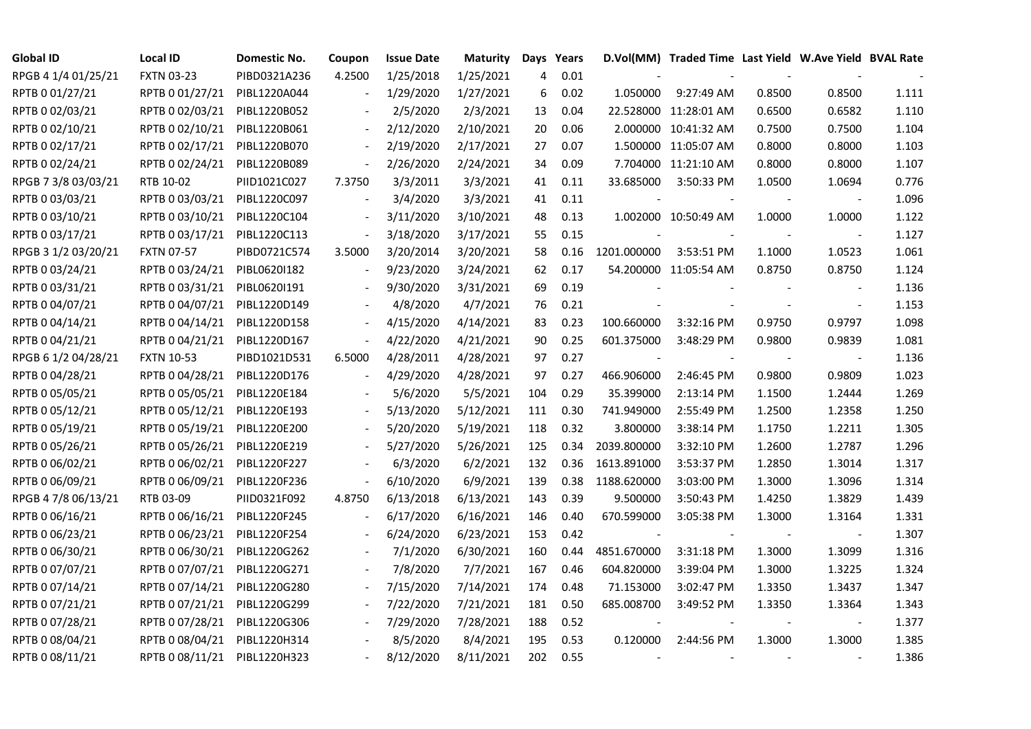| <b>Global ID</b>    | <b>Local ID</b>              | Domestic No. | Coupon                   | <b>Issue Date</b> | <b>Maturity</b> | Days | Years |             | D.Vol(MM) Traded Time Last Yield W.Ave Yield BVAL Rate |        |                          |       |
|---------------------|------------------------------|--------------|--------------------------|-------------------|-----------------|------|-------|-------------|--------------------------------------------------------|--------|--------------------------|-------|
| RPGB 4 1/4 01/25/21 | <b>FXTN 03-23</b>            | PIBD0321A236 | 4.2500                   | 1/25/2018         | 1/25/2021       | 4    | 0.01  |             |                                                        |        |                          |       |
| RPTB 0 01/27/21     | RPTB 0 01/27/21              | PIBL1220A044 |                          | 1/29/2020         | 1/27/2021       | 6    | 0.02  | 1.050000    | 9:27:49 AM                                             | 0.8500 | 0.8500                   | 1.111 |
| RPTB 0 02/03/21     | RPTB 0 02/03/21              | PIBL1220B052 |                          | 2/5/2020          | 2/3/2021        | 13   | 0.04  |             | 22.528000 11:28:01 AM                                  | 0.6500 | 0.6582                   | 1.110 |
| RPTB 0 02/10/21     | RPTB 0 02/10/21              | PIBL1220B061 | $\blacksquare$           | 2/12/2020         | 2/10/2021       | 20   | 0.06  |             | 2.000000 10:41:32 AM                                   | 0.7500 | 0.7500                   | 1.104 |
| RPTB 0 02/17/21     | RPTB 0 02/17/21              | PIBL1220B070 | $\overline{\phantom{a}}$ | 2/19/2020         | 2/17/2021       | 27   | 0.07  |             | 1.500000 11:05:07 AM                                   | 0.8000 | 0.8000                   | 1.103 |
| RPTB 0 02/24/21     | RPTB 0 02/24/21              | PIBL1220B089 | $\bar{\phantom{a}}$      | 2/26/2020         | 2/24/2021       | 34   | 0.09  |             | 7.704000 11:21:10 AM                                   | 0.8000 | 0.8000                   | 1.107 |
| RPGB 7 3/8 03/03/21 | RTB 10-02                    | PIID1021C027 | 7.3750                   | 3/3/2011          | 3/3/2021        | 41   | 0.11  | 33.685000   | 3:50:33 PM                                             | 1.0500 | 1.0694                   | 0.776 |
| RPTB 0 03/03/21     | RPTB 0 03/03/21              | PIBL1220C097 |                          | 3/4/2020          | 3/3/2021        | 41   | 0.11  |             |                                                        |        |                          | 1.096 |
| RPTB 0 03/10/21     | RPTB 0 03/10/21              | PIBL1220C104 |                          | 3/11/2020         | 3/10/2021       | 48   | 0.13  |             | 1.002000 10:50:49 AM                                   | 1.0000 | 1.0000                   | 1.122 |
| RPTB 0 03/17/21     | RPTB 0 03/17/21              | PIBL1220C113 |                          | 3/18/2020         | 3/17/2021       | 55   | 0.15  |             |                                                        |        | $\overline{\phantom{a}}$ | 1.127 |
| RPGB 3 1/2 03/20/21 | <b>FXTN 07-57</b>            | PIBD0721C574 | 3.5000                   | 3/20/2014         | 3/20/2021       | 58   | 0.16  | 1201.000000 | 3:53:51 PM                                             | 1.1000 | 1.0523                   | 1.061 |
| RPTB 0 03/24/21     | RPTB 0 03/24/21              | PIBL0620I182 |                          | 9/23/2020         | 3/24/2021       | 62   | 0.17  |             | 54.200000 11:05:54 AM                                  | 0.8750 | 0.8750                   | 1.124 |
| RPTB 0 03/31/21     | RPTB 0 03/31/21              | PIBL0620I191 |                          | 9/30/2020         | 3/31/2021       | 69   | 0.19  |             |                                                        |        | $\blacksquare$           | 1.136 |
| RPTB 0 04/07/21     | RPTB 0 04/07/21              | PIBL1220D149 |                          | 4/8/2020          | 4/7/2021        | 76   | 0.21  |             |                                                        |        |                          | 1.153 |
| RPTB 0 04/14/21     | RPTB 0 04/14/21              | PIBL1220D158 |                          | 4/15/2020         | 4/14/2021       | 83   | 0.23  | 100.660000  | 3:32:16 PM                                             | 0.9750 | 0.9797                   | 1.098 |
| RPTB 0 04/21/21     | RPTB 0 04/21/21              | PIBL1220D167 |                          | 4/22/2020         | 4/21/2021       | 90   | 0.25  | 601.375000  | 3:48:29 PM                                             | 0.9800 | 0.9839                   | 1.081 |
| RPGB 6 1/2 04/28/21 | <b>FXTN 10-53</b>            | PIBD1021D531 | 6.5000                   | 4/28/2011         | 4/28/2021       | 97   | 0.27  |             |                                                        |        | $\overline{\phantom{a}}$ | 1.136 |
| RPTB 0 04/28/21     | RPTB 0 04/28/21              | PIBL1220D176 | $\overline{\phantom{a}}$ | 4/29/2020         | 4/28/2021       | 97   | 0.27  | 466.906000  | 2:46:45 PM                                             | 0.9800 | 0.9809                   | 1.023 |
| RPTB 0 05/05/21     | RPTB 0 05/05/21              | PIBL1220E184 |                          | 5/6/2020          | 5/5/2021        | 104  | 0.29  | 35.399000   | 2:13:14 PM                                             | 1.1500 | 1.2444                   | 1.269 |
| RPTB 0 05/12/21     | RPTB 0 05/12/21              | PIBL1220E193 |                          | 5/13/2020         | 5/12/2021       | 111  | 0.30  | 741.949000  | 2:55:49 PM                                             | 1.2500 | 1.2358                   | 1.250 |
| RPTB 0 05/19/21     | RPTB 0 05/19/21              | PIBL1220E200 |                          | 5/20/2020         | 5/19/2021       | 118  | 0.32  | 3.800000    | 3:38:14 PM                                             | 1.1750 | 1.2211                   | 1.305 |
| RPTB 0 05/26/21     | RPTB 0 05/26/21              | PIBL1220E219 |                          | 5/27/2020         | 5/26/2021       | 125  | 0.34  | 2039.800000 | 3:32:10 PM                                             | 1.2600 | 1.2787                   | 1.296 |
| RPTB 0 06/02/21     | RPTB 0 06/02/21              | PIBL1220F227 |                          | 6/3/2020          | 6/2/2021        | 132  | 0.36  | 1613.891000 | 3:53:37 PM                                             | 1.2850 | 1.3014                   | 1.317 |
| RPTB 0 06/09/21     | RPTB 0 06/09/21              | PIBL1220F236 | $\blacksquare$           | 6/10/2020         | 6/9/2021        | 139  | 0.38  | 1188.620000 | 3:03:00 PM                                             | 1.3000 | 1.3096                   | 1.314 |
| RPGB 4 7/8 06/13/21 | RTB 03-09                    | PIID0321F092 | 4.8750                   | 6/13/2018         | 6/13/2021       | 143  | 0.39  | 9.500000    | 3:50:43 PM                                             | 1.4250 | 1.3829                   | 1.439 |
| RPTB 0 06/16/21     | RPTB 0 06/16/21              | PIBL1220F245 |                          | 6/17/2020         | 6/16/2021       | 146  | 0.40  | 670.599000  | 3:05:38 PM                                             | 1.3000 | 1.3164                   | 1.331 |
| RPTB 0 06/23/21     | RPTB 0 06/23/21              | PIBL1220F254 |                          | 6/24/2020         | 6/23/2021       | 153  | 0.42  |             |                                                        |        |                          | 1.307 |
| RPTB 0 06/30/21     | RPTB 0 06/30/21              | PIBL1220G262 |                          | 7/1/2020          | 6/30/2021       | 160  | 0.44  | 4851.670000 | 3:31:18 PM                                             | 1.3000 | 1.3099                   | 1.316 |
| RPTB 0 07/07/21     | RPTB 0 07/07/21              | PIBL1220G271 |                          | 7/8/2020          | 7/7/2021        | 167  | 0.46  | 604.820000  | 3:39:04 PM                                             | 1.3000 | 1.3225                   | 1.324 |
| RPTB 0 07/14/21     | RPTB 0 07/14/21              | PIBL1220G280 |                          | 7/15/2020         | 7/14/2021       | 174  | 0.48  | 71.153000   | 3:02:47 PM                                             | 1.3350 | 1.3437                   | 1.347 |
| RPTB 0 07/21/21     | RPTB 0 07/21/21              | PIBL1220G299 |                          | 7/22/2020         | 7/21/2021       | 181  | 0.50  | 685.008700  | 3:49:52 PM                                             | 1.3350 | 1.3364                   | 1.343 |
| RPTB 0 07/28/21     | RPTB 0 07/28/21              | PIBL1220G306 |                          | 7/29/2020         | 7/28/2021       | 188  | 0.52  |             |                                                        |        | $\overline{\phantom{a}}$ | 1.377 |
| RPTB 0 08/04/21     | RPTB 0 08/04/21              | PIBL1220H314 |                          | 8/5/2020          | 8/4/2021        | 195  | 0.53  | 0.120000    | 2:44:56 PM                                             | 1.3000 | 1.3000                   | 1.385 |
| RPTB 0 08/11/21     | RPTB 0 08/11/21 PIBL1220H323 |              |                          | 8/12/2020         | 8/11/2021       | 202  | 0.55  |             |                                                        |        |                          | 1.386 |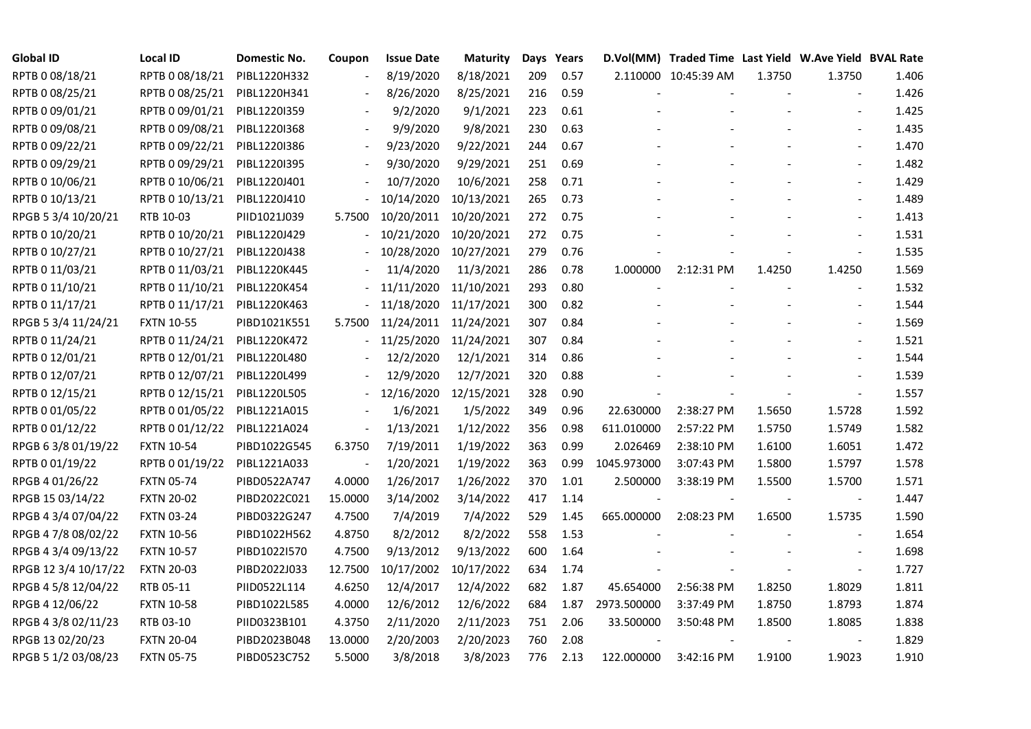| <b>Global ID</b>     | <b>Local ID</b>   | Domestic No. | Coupon                   | <b>Issue Date</b> | <b>Maturity</b> |     | Days Years |             | D.Vol(MM) Traded Time Last Yield W.Ave Yield BVAL Rate |        |                          |       |
|----------------------|-------------------|--------------|--------------------------|-------------------|-----------------|-----|------------|-------------|--------------------------------------------------------|--------|--------------------------|-------|
| RPTB 0 08/18/21      | RPTB 0 08/18/21   | PIBL1220H332 | $\overline{\phantom{a}}$ | 8/19/2020         | 8/18/2021       | 209 | 0.57       |             | 2.110000 10:45:39 AM                                   | 1.3750 | 1.3750                   | 1.406 |
| RPTB 0 08/25/21      | RPTB 0 08/25/21   | PIBL1220H341 |                          | 8/26/2020         | 8/25/2021       | 216 | 0.59       |             |                                                        |        |                          | 1.426 |
| RPTB 0 09/01/21      | RPTB 0 09/01/21   | PIBL1220I359 |                          | 9/2/2020          | 9/1/2021        | 223 | 0.61       |             |                                                        |        |                          | 1.425 |
| RPTB 0 09/08/21      | RPTB 0 09/08/21   | PIBL1220I368 |                          | 9/9/2020          | 9/8/2021        | 230 | 0.63       |             |                                                        |        |                          | 1.435 |
| RPTB 0 09/22/21      | RPTB 0 09/22/21   | PIBL1220I386 | $\blacksquare$           | 9/23/2020         | 9/22/2021       | 244 | 0.67       |             |                                                        |        |                          | 1.470 |
| RPTB 0 09/29/21      | RPTB 0 09/29/21   | PIBL1220I395 |                          | 9/30/2020         | 9/29/2021       | 251 | 0.69       |             |                                                        |        |                          | 1.482 |
| RPTB 0 10/06/21      | RPTB 0 10/06/21   | PIBL1220J401 |                          | 10/7/2020         | 10/6/2021       | 258 | 0.71       |             |                                                        |        | $\blacksquare$           | 1.429 |
| RPTB 0 10/13/21      | RPTB 0 10/13/21   | PIBL1220J410 |                          | 10/14/2020        | 10/13/2021      | 265 | 0.73       |             |                                                        |        |                          | 1.489 |
| RPGB 5 3/4 10/20/21  | RTB 10-03         | PIID1021J039 | 5.7500                   | 10/20/2011        | 10/20/2021      | 272 | 0.75       |             |                                                        |        |                          | 1.413 |
| RPTB 0 10/20/21      | RPTB 0 10/20/21   | PIBL1220J429 |                          | 10/21/2020        | 10/20/2021      | 272 | 0.75       |             |                                                        |        |                          | 1.531 |
| RPTB 0 10/27/21      | RPTB 0 10/27/21   | PIBL1220J438 |                          | 10/28/2020        | 10/27/2021      | 279 | 0.76       |             |                                                        |        |                          | 1.535 |
| RPTB 0 11/03/21      | RPTB 0 11/03/21   | PIBL1220K445 |                          | 11/4/2020         | 11/3/2021       | 286 | 0.78       | 1.000000    | 2:12:31 PM                                             | 1.4250 | 1.4250                   | 1.569 |
| RPTB 0 11/10/21      | RPTB 0 11/10/21   | PIBL1220K454 |                          | 11/11/2020        | 11/10/2021      | 293 | 0.80       |             |                                                        |        | $\blacksquare$           | 1.532 |
| RPTB 0 11/17/21      | RPTB 0 11/17/21   | PIBL1220K463 |                          | 11/18/2020        | 11/17/2021      | 300 | 0.82       |             |                                                        |        |                          | 1.544 |
| RPGB 5 3/4 11/24/21  | <b>FXTN 10-55</b> | PIBD1021K551 | 5.7500                   | 11/24/2011        | 11/24/2021      | 307 | 0.84       |             |                                                        |        |                          | 1.569 |
| RPTB 0 11/24/21      | RPTB 0 11/24/21   | PIBL1220K472 |                          | 11/25/2020        | 11/24/2021      | 307 | 0.84       |             |                                                        |        |                          | 1.521 |
| RPTB 0 12/01/21      | RPTB 0 12/01/21   | PIBL1220L480 |                          | 12/2/2020         | 12/1/2021       | 314 | 0.86       |             |                                                        |        |                          | 1.544 |
| RPTB 0 12/07/21      | RPTB 0 12/07/21   | PIBL1220L499 |                          | 12/9/2020         | 12/7/2021       | 320 | 0.88       |             |                                                        |        |                          | 1.539 |
| RPTB 0 12/15/21      | RPTB 0 12/15/21   | PIBL1220L505 |                          | 12/16/2020        | 12/15/2021      | 328 | 0.90       |             |                                                        |        |                          | 1.557 |
| RPTB 0 01/05/22      | RPTB 0 01/05/22   | PIBL1221A015 |                          | 1/6/2021          | 1/5/2022        | 349 | 0.96       | 22.630000   | 2:38:27 PM                                             | 1.5650 | 1.5728                   | 1.592 |
| RPTB 0 01/12/22      | RPTB 0 01/12/22   | PIBL1221A024 | $\overline{\phantom{a}}$ | 1/13/2021         | 1/12/2022       | 356 | 0.98       | 611.010000  | 2:57:22 PM                                             | 1.5750 | 1.5749                   | 1.582 |
| RPGB 63/8 01/19/22   | <b>FXTN 10-54</b> | PIBD1022G545 | 6.3750                   | 7/19/2011         | 1/19/2022       | 363 | 0.99       | 2.026469    | 2:38:10 PM                                             | 1.6100 | 1.6051                   | 1.472 |
| RPTB 0 01/19/22      | RPTB 0 01/19/22   | PIBL1221A033 |                          | 1/20/2021         | 1/19/2022       | 363 | 0.99       | 1045.973000 | 3:07:43 PM                                             | 1.5800 | 1.5797                   | 1.578 |
| RPGB 4 01/26/22      | <b>FXTN 05-74</b> | PIBD0522A747 | 4.0000                   | 1/26/2017         | 1/26/2022       | 370 | 1.01       | 2.500000    | 3:38:19 PM                                             | 1.5500 | 1.5700                   | 1.571 |
| RPGB 15 03/14/22     | <b>FXTN 20-02</b> | PIBD2022C021 | 15.0000                  | 3/14/2002         | 3/14/2022       | 417 | 1.14       |             |                                                        |        | $\overline{\phantom{a}}$ | 1.447 |
| RPGB 4 3/4 07/04/22  | <b>FXTN 03-24</b> | PIBD0322G247 | 4.7500                   | 7/4/2019          | 7/4/2022        | 529 | 1.45       | 665.000000  | 2:08:23 PM                                             | 1.6500 | 1.5735                   | 1.590 |
| RPGB 4 7/8 08/02/22  | <b>FXTN 10-56</b> | PIBD1022H562 | 4.8750                   | 8/2/2012          | 8/2/2022        | 558 | 1.53       |             |                                                        |        |                          | 1.654 |
| RPGB 4 3/4 09/13/22  | <b>FXTN 10-57</b> | PIBD1022I570 | 4.7500                   | 9/13/2012         | 9/13/2022       | 600 | 1.64       |             |                                                        |        |                          | 1.698 |
| RPGB 12 3/4 10/17/22 | <b>FXTN 20-03</b> | PIBD2022J033 | 12.7500                  | 10/17/2002        | 10/17/2022      | 634 | 1.74       |             |                                                        |        | $\blacksquare$           | 1.727 |
| RPGB 4 5/8 12/04/22  | RTB 05-11         | PIID0522L114 | 4.6250                   | 12/4/2017         | 12/4/2022       | 682 | 1.87       | 45.654000   | 2:56:38 PM                                             | 1.8250 | 1.8029                   | 1.811 |
| RPGB 4 12/06/22      | <b>FXTN 10-58</b> | PIBD1022L585 | 4.0000                   | 12/6/2012         | 12/6/2022       | 684 | 1.87       | 2973.500000 | 3:37:49 PM                                             | 1.8750 | 1.8793                   | 1.874 |
| RPGB 4 3/8 02/11/23  | RTB 03-10         | PIID0323B101 | 4.3750                   | 2/11/2020         | 2/11/2023       | 751 | 2.06       | 33.500000   | 3:50:48 PM                                             | 1.8500 | 1.8085                   | 1.838 |
| RPGB 13 02/20/23     | <b>FXTN 20-04</b> | PIBD2023B048 | 13.0000                  | 2/20/2003         | 2/20/2023       | 760 | 2.08       |             |                                                        |        |                          | 1.829 |
| RPGB 5 1/2 03/08/23  | <b>FXTN 05-75</b> | PIBD0523C752 | 5.5000                   | 3/8/2018          | 3/8/2023        | 776 | 2.13       | 122.000000  | 3:42:16 PM                                             | 1.9100 | 1.9023                   | 1.910 |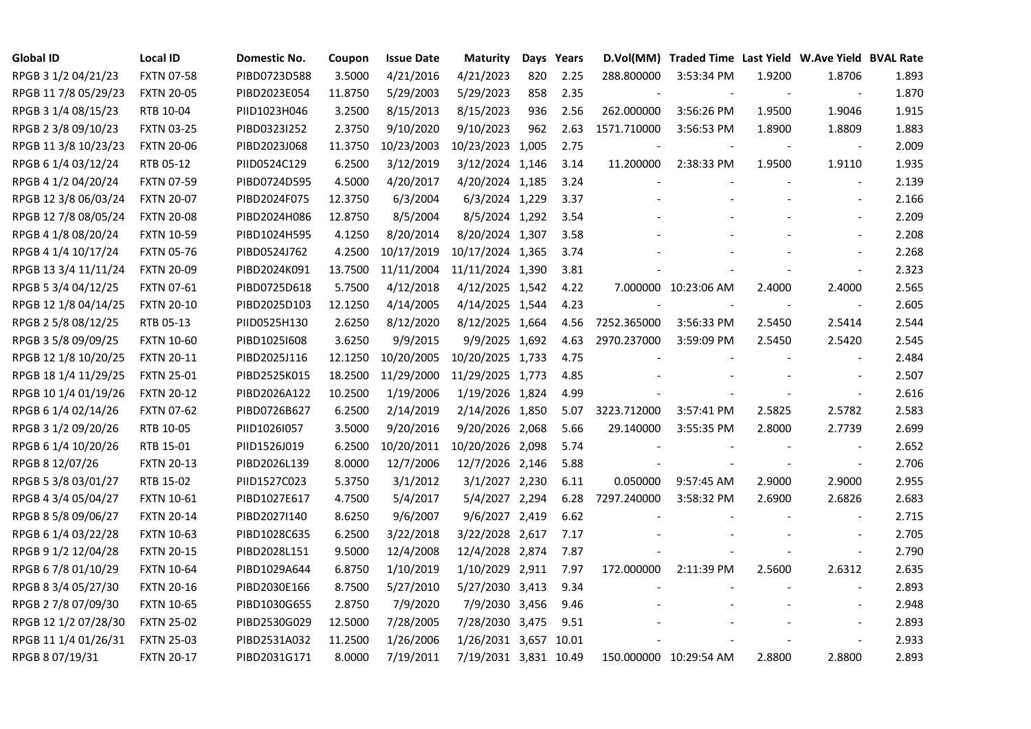| <b>Global ID</b>     | <b>Local ID</b>   | Domestic No. | Coupon  | <b>Issue Date</b> | <b>Maturity</b>       |     | Days Years |             | D.Vol(MM) Traded Time Last Yield W.Ave Yield BVAL Rate |        |                          |       |
|----------------------|-------------------|--------------|---------|-------------------|-----------------------|-----|------------|-------------|--------------------------------------------------------|--------|--------------------------|-------|
| RPGB 3 1/2 04/21/23  | <b>FXTN 07-58</b> | PIBD0723D588 | 3.5000  | 4/21/2016         | 4/21/2023             | 820 | 2.25       | 288.800000  | 3:53:34 PM                                             | 1.9200 | 1.8706                   | 1.893 |
| RPGB 11 7/8 05/29/23 | <b>FXTN 20-05</b> | PIBD2023E054 | 11.8750 | 5/29/2003         | 5/29/2023             | 858 | 2.35       |             |                                                        |        | $\overline{\phantom{a}}$ | 1.870 |
| RPGB 3 1/4 08/15/23  | RTB 10-04         | PIID1023H046 | 3.2500  | 8/15/2013         | 8/15/2023             | 936 | 2.56       | 262.000000  | 3:56:26 PM                                             | 1.9500 | 1.9046                   | 1.915 |
| RPGB 2 3/8 09/10/23  | <b>FXTN 03-25</b> | PIBD0323I252 | 2.3750  | 9/10/2020         | 9/10/2023             | 962 | 2.63       | 1571.710000 | 3:56:53 PM                                             | 1.8900 | 1.8809                   | 1.883 |
| RPGB 11 3/8 10/23/23 | <b>FXTN 20-06</b> | PIBD2023J068 | 11.3750 | 10/23/2003        | 10/23/2023 1,005      |     | 2.75       |             |                                                        |        | $\overline{\phantom{a}}$ | 2.009 |
| RPGB 6 1/4 03/12/24  | RTB 05-12         | PIID0524C129 | 6.2500  | 3/12/2019         | 3/12/2024 1,146       |     | 3.14       | 11.200000   | 2:38:33 PM                                             | 1.9500 | 1.9110                   | 1.935 |
| RPGB 4 1/2 04/20/24  | <b>FXTN 07-59</b> | PIBD0724D595 | 4.5000  | 4/20/2017         | 4/20/2024 1,185       |     | 3.24       |             |                                                        |        | $\blacksquare$           | 2.139 |
| RPGB 12 3/8 06/03/24 | <b>FXTN 20-07</b> | PIBD2024F075 | 12.3750 | 6/3/2004          | 6/3/2024 1,229        |     | 3.37       |             |                                                        |        |                          | 2.166 |
| RPGB 12 7/8 08/05/24 | <b>FXTN 20-08</b> | PIBD2024H086 | 12.8750 | 8/5/2004          | 8/5/2024 1,292        |     | 3.54       |             |                                                        |        |                          | 2.209 |
| RPGB 4 1/8 08/20/24  | <b>FXTN 10-59</b> | PIBD1024H595 | 4.1250  | 8/20/2014         | 8/20/2024 1,307       |     | 3.58       |             |                                                        |        |                          | 2.208 |
| RPGB 4 1/4 10/17/24  | <b>FXTN 05-76</b> | PIBD0524J762 | 4.2500  | 10/17/2019        | 10/17/2024 1,365      |     | 3.74       |             |                                                        |        |                          | 2.268 |
| RPGB 13 3/4 11/11/24 | <b>FXTN 20-09</b> | PIBD2024K091 | 13.7500 | 11/11/2004        | 11/11/2024 1,390      |     | 3.81       |             |                                                        |        | $\blacksquare$           | 2.323 |
| RPGB 5 3/4 04/12/25  | <b>FXTN 07-61</b> | PIBD0725D618 | 5.7500  | 4/12/2018         | 4/12/2025 1,542       |     | 4.22       |             | 7.000000 10:23:06 AM                                   | 2.4000 | 2.4000                   | 2.565 |
| RPGB 12 1/8 04/14/25 | <b>FXTN 20-10</b> | PIBD2025D103 | 12.1250 | 4/14/2005         | 4/14/2025 1,544       |     | 4.23       |             |                                                        |        | $\blacksquare$           | 2.605 |
| RPGB 2 5/8 08/12/25  | RTB 05-13         | PIID0525H130 | 2.6250  | 8/12/2020         | 8/12/2025 1,664       |     | 4.56       | 7252.365000 | 3:56:33 PM                                             | 2.5450 | 2.5414                   | 2.544 |
| RPGB 3 5/8 09/09/25  | <b>FXTN 10-60</b> | PIBD10251608 | 3.6250  | 9/9/2015          | 9/9/2025 1,692        |     | 4.63       | 2970.237000 | 3:59:09 PM                                             | 2.5450 | 2.5420                   | 2.545 |
| RPGB 12 1/8 10/20/25 | <b>FXTN 20-11</b> | PIBD2025J116 | 12.1250 | 10/20/2005        | 10/20/2025 1,733      |     | 4.75       |             |                                                        |        |                          | 2.484 |
| RPGB 18 1/4 11/29/25 | <b>FXTN 25-01</b> | PIBD2525K015 | 18.2500 | 11/29/2000        | 11/29/2025 1,773      |     | 4.85       |             |                                                        |        |                          | 2.507 |
| RPGB 10 1/4 01/19/26 | <b>FXTN 20-12</b> | PIBD2026A122 | 10.2500 | 1/19/2006         | 1/19/2026 1,824       |     | 4.99       |             |                                                        |        |                          | 2.616 |
| RPGB 6 1/4 02/14/26  | <b>FXTN 07-62</b> | PIBD0726B627 | 6.2500  | 2/14/2019         | 2/14/2026 1,850       |     | 5.07       | 3223.712000 | 3:57:41 PM                                             | 2.5825 | 2.5782                   | 2.583 |
| RPGB 3 1/2 09/20/26  | RTB 10-05         | PIID1026I057 | 3.5000  | 9/20/2016         | 9/20/2026 2,068       |     | 5.66       | 29.140000   | 3:55:35 PM                                             | 2.8000 | 2.7739                   | 2.699 |
| RPGB 6 1/4 10/20/26  | RTB 15-01         | PIID1526J019 | 6.2500  | 10/20/2011        | 10/20/2026 2,098      |     | 5.74       |             |                                                        |        |                          | 2.652 |
| RPGB 8 12/07/26      | <b>FXTN 20-13</b> | PIBD2026L139 | 8.0000  | 12/7/2006         | 12/7/2026 2,146       |     | 5.88       |             |                                                        |        |                          | 2.706 |
| RPGB 5 3/8 03/01/27  | RTB 15-02         | PIID1527C023 | 5.3750  | 3/1/2012          | 3/1/2027 2,230        |     | 6.11       | 0.050000    | 9:57:45 AM                                             | 2.9000 | 2.9000                   | 2.955 |
| RPGB 4 3/4 05/04/27  | <b>FXTN 10-61</b> | PIBD1027E617 | 4.7500  | 5/4/2017          | 5/4/2027 2,294        |     | 6.28       | 7297.240000 | 3:58:32 PM                                             | 2.6900 | 2.6826                   | 2.683 |
| RPGB 8 5/8 09/06/27  | <b>FXTN 20-14</b> | PIBD2027I140 | 8.6250  | 9/6/2007          | 9/6/2027 2,419        |     | 6.62       |             |                                                        |        | $\blacksquare$           | 2.715 |
| RPGB 6 1/4 03/22/28  | <b>FXTN 10-63</b> | PIBD1028C635 | 6.2500  | 3/22/2018         | 3/22/2028 2,617       |     | 7.17       |             |                                                        |        | $\blacksquare$           | 2.705 |
| RPGB 9 1/2 12/04/28  | <b>FXTN 20-15</b> | PIBD2028L151 | 9.5000  | 12/4/2008         | 12/4/2028 2,874       |     | 7.87       |             |                                                        |        | $\blacksquare$           | 2.790 |
| RPGB 67/8 01/10/29   | <b>FXTN 10-64</b> | PIBD1029A644 | 6.8750  | 1/10/2019         | 1/10/2029 2,911       |     | 7.97       | 172.000000  | 2:11:39 PM                                             | 2.5600 | 2.6312                   | 2.635 |
| RPGB 8 3/4 05/27/30  | <b>FXTN 20-16</b> | PIBD2030E166 | 8.7500  | 5/27/2010         | 5/27/2030 3,413       |     | 9.34       |             |                                                        |        |                          | 2.893 |
| RPGB 2 7/8 07/09/30  | <b>FXTN 10-65</b> | PIBD1030G655 | 2.8750  | 7/9/2020          | 7/9/2030 3,456        |     | 9.46       |             |                                                        |        |                          | 2.948 |
| RPGB 12 1/2 07/28/30 | <b>FXTN 25-02</b> | PIBD2530G029 | 12.5000 | 7/28/2005         | 7/28/2030 3,475       |     | 9.51       |             |                                                        |        |                          | 2.893 |
| RPGB 11 1/4 01/26/31 | <b>FXTN 25-03</b> | PIBD2531A032 | 11.2500 | 1/26/2006         | 1/26/2031 3,657 10.01 |     |            |             |                                                        |        |                          | 2.933 |
| RPGB 8 07/19/31      | <b>FXTN 20-17</b> | PIBD2031G171 | 8.0000  | 7/19/2011         | 7/19/2031 3,831 10.49 |     |            |             | 150.000000 10:29:54 AM                                 | 2.8800 | 2.8800                   | 2.893 |